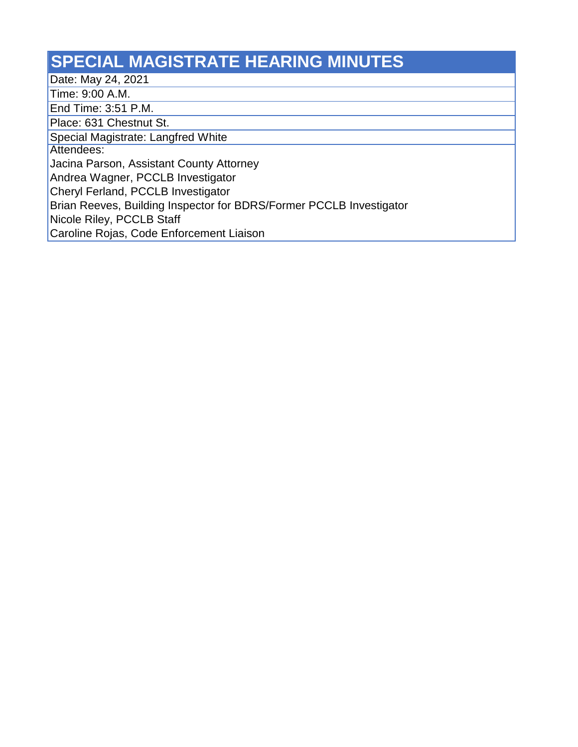## **SPECIAL MAGISTRATE HEARING MINUTES**

Date: May 24, 2021

Time: 9:00 A.M.

End Time: 3:51 P.M.

Place: 631 Chestnut St.

Special Magistrate: Langfred White

Attendees:

Jacina Parson, Assistant County Attorney

Andrea Wagner, PCCLB Investigator

Cheryl Ferland, PCCLB Investigator

Brian Reeves, Building Inspector for BDRS/Former PCCLB Investigator

Nicole Riley, PCCLB Staff

Caroline Rojas, Code Enforcement Liaison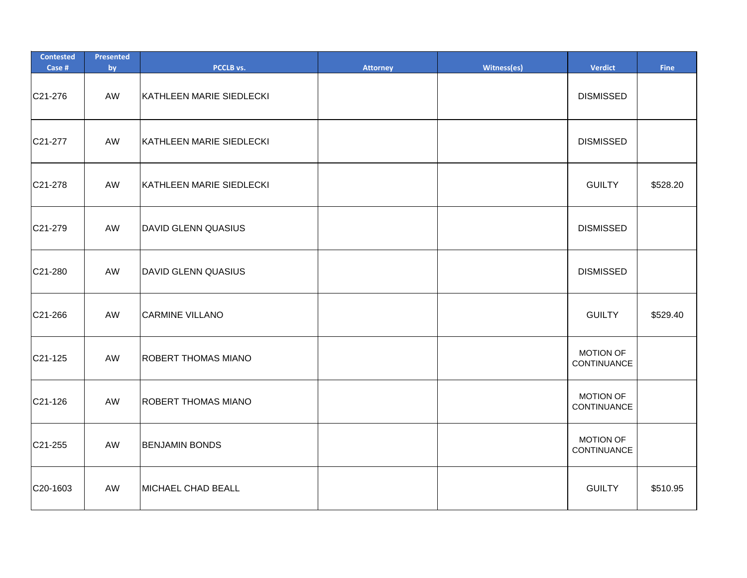| <b>Contested</b><br>Case # | Presented<br>by | PCCLB vs.                  | <b>Attorney</b> | Witness(es) | <b>Verdict</b>                  | <b>Fine</b> |
|----------------------------|-----------------|----------------------------|-----------------|-------------|---------------------------------|-------------|
| C21-276                    | AW              | KATHLEEN MARIE SIEDLECKI   |                 |             | <b>DISMISSED</b>                |             |
| C21-277                    | AW              | KATHLEEN MARIE SIEDLECKI   |                 |             | <b>DISMISSED</b>                |             |
| C21-278                    | AW              | KATHLEEN MARIE SIEDLECKI   |                 |             | <b>GUILTY</b>                   | \$528.20    |
| C21-279                    | AW              | <b>DAVID GLENN QUASIUS</b> |                 |             | <b>DISMISSED</b>                |             |
| C21-280                    | AW              | <b>DAVID GLENN QUASIUS</b> |                 |             | <b>DISMISSED</b>                |             |
| C21-266                    | AW              | <b>CARMINE VILLANO</b>     |                 |             | <b>GUILTY</b>                   | \$529.40    |
| C21-125                    | AW              | <b>ROBERT THOMAS MIANO</b> |                 |             | <b>MOTION OF</b><br>CONTINUANCE |             |
| C21-126                    | AW              | ROBERT THOMAS MIANO        |                 |             | <b>MOTION OF</b><br>CONTINUANCE |             |
| C21-255                    | AW              | <b>BENJAMIN BONDS</b>      |                 |             | <b>MOTION OF</b><br>CONTINUANCE |             |
| C20-1603                   | AW              | MICHAEL CHAD BEALL         |                 |             | <b>GUILTY</b>                   | \$510.95    |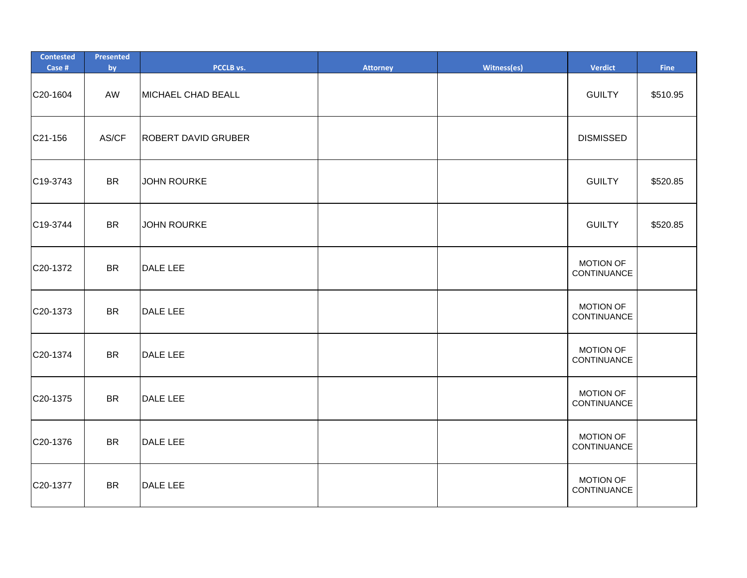| <b>Contested</b><br>Case # | Presented<br>by | PCCLB vs.                  | <b>Attorney</b> | Witness(es) | <b>Verdict</b>                  | Fine     |
|----------------------------|-----------------|----------------------------|-----------------|-------------|---------------------------------|----------|
| C20-1604                   | AW              | MICHAEL CHAD BEALL         |                 |             | <b>GUILTY</b>                   | \$510.95 |
| C21-156                    | AS/CF           | <b>ROBERT DAVID GRUBER</b> |                 |             | <b>DISMISSED</b>                |          |
| C19-3743                   | <b>BR</b>       | <b>JOHN ROURKE</b>         |                 |             | <b>GUILTY</b>                   | \$520.85 |
| C19-3744                   | <b>BR</b>       | <b>JOHN ROURKE</b>         |                 |             | <b>GUILTY</b>                   | \$520.85 |
| C20-1372                   | <b>BR</b>       | <b>DALE LEE</b>            |                 |             | MOTION OF<br>CONTINUANCE        |          |
| C20-1373                   | <b>BR</b>       | <b>DALE LEE</b>            |                 |             | <b>MOTION OF</b><br>CONTINUANCE |          |
| C20-1374                   | <b>BR</b>       | <b>DALE LEE</b>            |                 |             | <b>MOTION OF</b><br>CONTINUANCE |          |
| C20-1375                   | <b>BR</b>       | <b>DALE LEE</b>            |                 |             | <b>MOTION OF</b><br>CONTINUANCE |          |
| C20-1376                   | <b>BR</b>       | DALE LEE                   |                 |             | <b>MOTION OF</b><br>CONTINUANCE |          |
| C20-1377                   | <b>BR</b>       | <b>DALE LEE</b>            |                 |             | <b>MOTION OF</b><br>CONTINUANCE |          |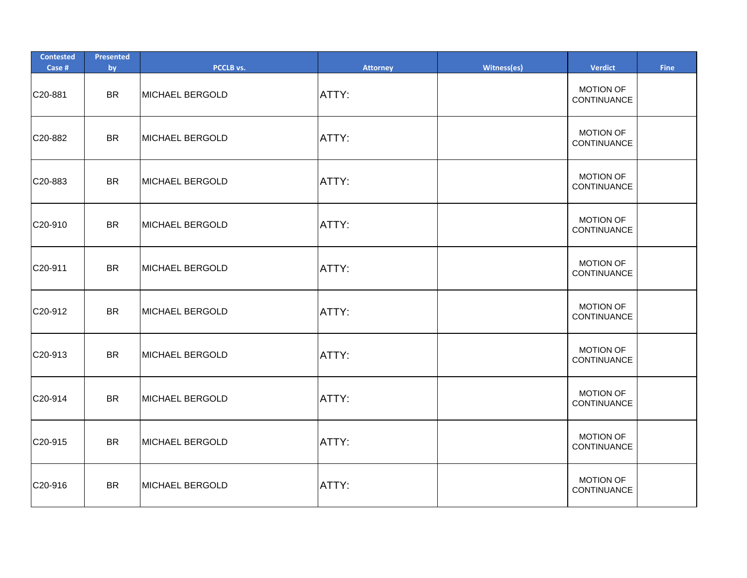| <b>Contested</b><br>Case # | Presented<br>by | PCCLB vs.       | <b>Attorney</b> | Witness(es) | Verdict                         | Fine |
|----------------------------|-----------------|-----------------|-----------------|-------------|---------------------------------|------|
| C20-881                    | <b>BR</b>       | MICHAEL BERGOLD | ATTY:           |             | <b>MOTION OF</b><br>CONTINUANCE |      |
| C20-882                    | <b>BR</b>       | MICHAEL BERGOLD | ATTY:           |             | <b>MOTION OF</b><br>CONTINUANCE |      |
| C20-883                    | <b>BR</b>       | MICHAEL BERGOLD | ATTY:           |             | <b>MOTION OF</b><br>CONTINUANCE |      |
| C20-910                    | <b>BR</b>       | MICHAEL BERGOLD | ATTY:           |             | <b>MOTION OF</b><br>CONTINUANCE |      |
| C20-911                    | <b>BR</b>       | MICHAEL BERGOLD | ATTY:           |             | <b>MOTION OF</b><br>CONTINUANCE |      |
| C20-912                    | <b>BR</b>       | MICHAEL BERGOLD | ATTY:           |             | <b>MOTION OF</b><br>CONTINUANCE |      |
| C20-913                    | <b>BR</b>       | MICHAEL BERGOLD | ATTY:           |             | <b>MOTION OF</b><br>CONTINUANCE |      |
| C20-914                    | <b>BR</b>       | MICHAEL BERGOLD | ATTY:           |             | <b>MOTION OF</b><br>CONTINUANCE |      |
| C20-915                    | <b>BR</b>       | MICHAEL BERGOLD | ATTY:           |             | <b>MOTION OF</b><br>CONTINUANCE |      |
| C20-916                    | <b>BR</b>       | MICHAEL BERGOLD | ATTY:           |             | <b>MOTION OF</b><br>CONTINUANCE |      |